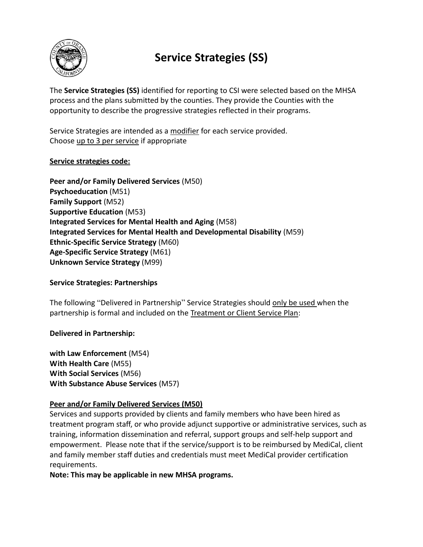

# **Service Strategies (SS)**

The **Service Strategies (SS)** identified for reporting to CSI were selected based on the MHSA process and the plans submitted by the counties. They provide the Counties with the opportunity to describe the progressive strategies reflected in their programs.

Service Strategies are intended as a modifier for each service provided. Choose up to 3 per service if appropriate

# **Service strategies code:**

**Peer and/or Family Delivered Services** (M50) **Psychoeducation** (M51) **Family Support** (M52) **Supportive Education** (M53) **Integrated Services for Mental Health and Aging** (M58) **Integrated Services for Mental Health and Developmental Disability** (M59) **Ethnic-Specific Service Strategy** (M60) **Age-Specific Service Strategy** (M61) **Unknown Service Strategy** (M99)

# **Service Strategies: Partnerships**

The following "Delivered in Partnership" Service Strategies should only be used when the partnership is formal and included on the Treatment or Client Service Plan:

# **Delivered in Partnership:**

**with Law Enforcement** (M54) **With Health Care** (M55) **With Social Services** (M56) **With Substance Abuse Services** (M57)

# **Peer and/or Family Delivered Services (M50)**

Services and supports provided by clients and family members who have been hired as treatment program staff, or who provide adjunct supportive or administrative services, such as training, information dissemination and referral, support groups and self-help support and empowerment. Please note that if the service/support is to be reimbursed by MediCal, client and family member staff duties and credentials must meet MediCal provider certification requirements.

**Note: This may be applicable in new MHSA programs.**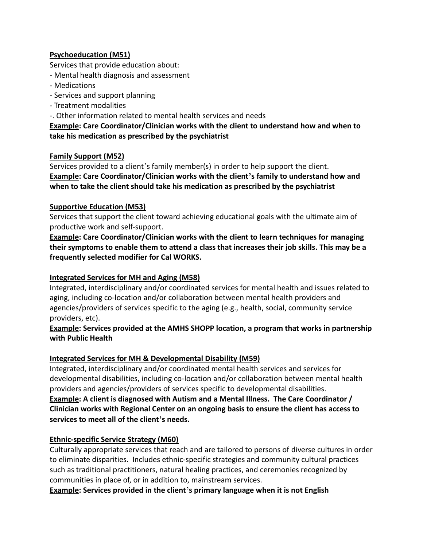# **Psychoeducation (M51)**

Services that provide education about:

- Mental health diagnosis and assessment
- Medications
- Services and support planning
- Treatment modalities
- -. Other information related to mental health services and needs

**Example: Care Coordinator/Clinician works with the client to understand how and when to take his medication as prescribed by the psychiatrist**

# **Family Support (M52)**

Services provided to a client's family member(s) in order to help support the client. **Example: Care Coordinator/Clinician works with the client's family to understand how and when to take the client should take his medication as prescribed by the psychiatrist**

#### **Supportive Education (M53)**

Services that support the client toward achieving educational goals with the ultimate aim of productive work and self-support.

**Example: Care Coordinator/Clinician works with the client to learn techniques for managing their symptoms to enable them to attend a class that increases their job skills. This may be a frequently selected modifier for Cal WORKS.**

#### **Integrated Services for MH and Aging (M58)**

Integrated, interdisciplinary and/or coordinated services for mental health and issues related to aging, including co-location and/or collaboration between mental health providers and agencies/providers of services specific to the aging (e.g., health, social, community service providers, etc).

# **Example: Services provided at the AMHS SHOPP location, a program that works in partnership with Public Health**

# **Integrated Services for MH & Developmental Disability (M59)**

Integrated, interdisciplinary and/or coordinated mental health services and services for developmental disabilities, including co-location and/or collaboration between mental health providers and agencies/providers of services specific to developmental disabilities.

**Example: A client is diagnosed with Autism and a Mental Illness. The Care Coordinator / Clinician works with Regional Center on an ongoing basis to ensure the client has access to services to meet all of the client's needs.**

# **Ethnic-specific Service Strategy (M60)**

Culturally appropriate services that reach and are tailored to persons of diverse cultures in order to eliminate disparities. Includes ethnic-specific strategies and community cultural practices such as traditional practitioners, natural healing practices, and ceremonies recognized by communities in place of, or in addition to, mainstream services.

**Example: Services provided in the client's primary language when it is not English**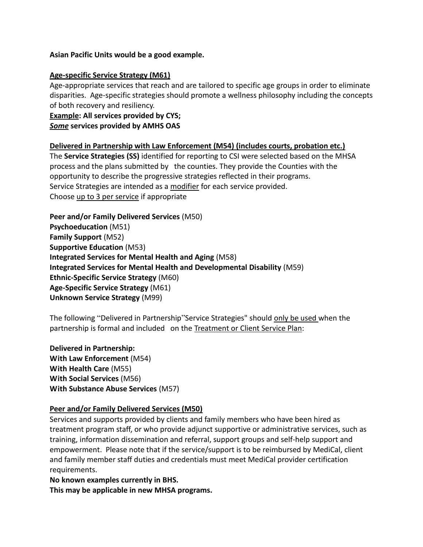#### **Asian Pacific Units would be a good example.**

#### **Age-specific Service Strategy (M61)**

Age-appropriate services that reach and are tailored to specific age groups in order to eliminate disparities. Age-specific strategies should promote a wellness philosophy including the concepts of both recovery and resiliency.

**Example: All services provided by CYS;**

# *Some* **services provided by AMHS OAS**

#### **Delivered in Partnership with Law Enforcement (M54) (includes courts, probation etc.)**

The **Service Strategies (SS)** identified for reporting to CSI were selected based on the MHSA process and the plans submitted by the counties. They provide the Counties with the opportunity to describe the progressive strategies reflected in their programs. Service Strategies are intended as a modifier for each service provided. Choose up to 3 per service if appropriate

**Peer and/or Family Delivered Services** (M50) **Psychoeducation** (M51) **Family Support** (M52) **Supportive Education** (M53) **Integrated Services for Mental Health and Aging** (M58) **Integrated Services for Mental Health and Developmental Disability** (M59) **Ethnic-Specific Service Strategy** (M60) **Age-Specific Service Strategy** (M61) **Unknown Service Strategy** (M99)

The following "Delivered in Partnership"Service Strategies" should only be used when the partnership is formal and included on the Treatment or Client Service Plan:

**Delivered in Partnership: With Law Enforcement** (M54) **With Health Care** (M55) **With Social Services** (M56) **With Substance Abuse Services** (M57)

#### **Peer and/or Family Delivered Services (M50)**

Services and supports provided by clients and family members who have been hired as treatment program staff, or who provide adjunct supportive or administrative services, such as training, information dissemination and referral, support groups and self-help support and empowerment. Please note that if the service/support is to be reimbursed by MediCal, client and family member staff duties and credentials must meet MediCal provider certification requirements.

**No known examples currently in BHS. This may be applicable in new MHSA programs.**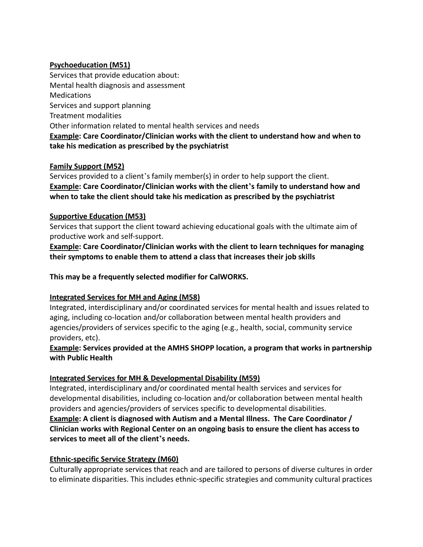# **Psychoeducation (M51)**

Services that provide education about: Mental health diagnosis and assessment **Medications** Services and support planning Treatment modalities Other information related to mental health services and needs **Example: Care Coordinator/Clinician works with the client to understand how and when to take his medication as prescribed by the psychiatrist**

# **Family Support (M52)**

Services provided to a client's family member(s) in order to help support the client. **Example: Care Coordinator/Clinician works with the client's family to understand how and when to take the client should take his medication as prescribed by the psychiatrist**

#### **Supportive Education (M53)**

Services that support the client toward achieving educational goals with the ultimate aim of productive work and self-support.

**Example: Care Coordinator/Clinician works with the client to learn techniques for managing their symptoms to enable them to attend a class that increases their job skills**

**This may be a frequently selected modifier for CalWORKS.**

# **Integrated Services for MH and Aging (M58)**

Integrated, interdisciplinary and/or coordinated services for mental health and issues related to aging, including co-location and/or collaboration between mental health providers and agencies/providers of services specific to the aging (e.g., health, social, community service providers, etc).

# **Example: Services provided at the AMHS SHOPP location, a program that works in partnership with Public Health**

# **Integrated Services for MH & Developmental Disability (M59)**

Integrated, interdisciplinary and/or coordinated mental health services and services for developmental disabilities, including co-location and/or collaboration between mental health providers and agencies/providers of services specific to developmental disabilities. **Example: A client is diagnosed with Autism and a Mental Illness. The Care Coordinator / Clinician works with Regional Center on an ongoing basis to ensure the client has access to services to meet all of the client's needs.**

# **Ethnic-specific Service Strategy (M60)**

Culturally appropriate services that reach and are tailored to persons of diverse cultures in order to eliminate disparities. This includes ethnic-specific strategies and community cultural practices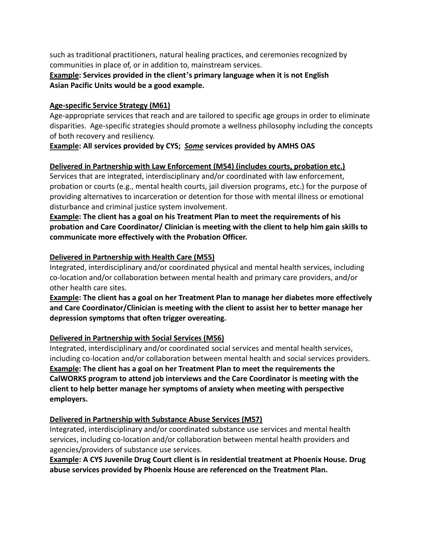such as traditional practitioners, natural healing practices, and ceremonies recognized by communities in place of, or in addition to, mainstream services.

**Example: Services provided in the client's primary language when it is not English Asian Pacific Units would be a good example.**

#### **Age-specific Service Strategy (M61)**

Age-appropriate services that reach and are tailored to specific age groups in order to eliminate disparities. Age-specific strategies should promote a wellness philosophy including the concepts of both recovery and resiliency.

# **Example: All services provided by CYS;** *Some* **services provided by AMHS OAS**

# **Delivered in Partnership with Law Enforcement (M54) (includes courts, probation etc.)**

Services that are integrated, interdisciplinary and/or coordinated with law enforcement, probation or courts (e.g., mental health courts, jail diversion programs, etc.) for the purpose of providing alternatives to incarceration or detention for those with mental illness or emotional disturbance and criminal justice system involvement.

# **Example: The client has a goal on his Treatment Plan to meet the requirements of his probation and Care Coordinator/ Clinician is meeting with the client to help him gain skills to communicate more effectively with the Probation Officer.**

#### **Delivered in Partnership with Health Care (M55)**

Integrated, interdisciplinary and/or coordinated physical and mental health services, including co-location and/or collaboration between mental health and primary care providers, and/or other health care sites.

# **Example: The client has a goal on her Treatment Plan to manage her diabetes more effectively and Care Coordinator/Clinician is meeting with the client to assist her to better manage her depression symptoms that often trigger overeating.**

# **Delivered in Partnership with Social Services (M56)**

Integrated, interdisciplinary and/or coordinated social services and mental health services, including co-location and/or collaboration between mental health and social services providers. **Example: The client has a goal on her Treatment Plan to meet the requirements the CalWORKS program to attend job interviews and the Care Coordinator is meeting with the client to help better manage her symptoms of anxiety when meeting with perspective employers.**

#### **Delivered in Partnership with Substance Abuse Services (M57)**

Integrated, interdisciplinary and/or coordinated substance use services and mental health services, including co-location and/or collaboration between mental health providers and agencies/providers of substance use services.

**Example: A CYS Juvenile Drug Court client is in residential treatment at Phoenix House. Drug abuse services provided by Phoenix House are referenced on the Treatment Plan.**